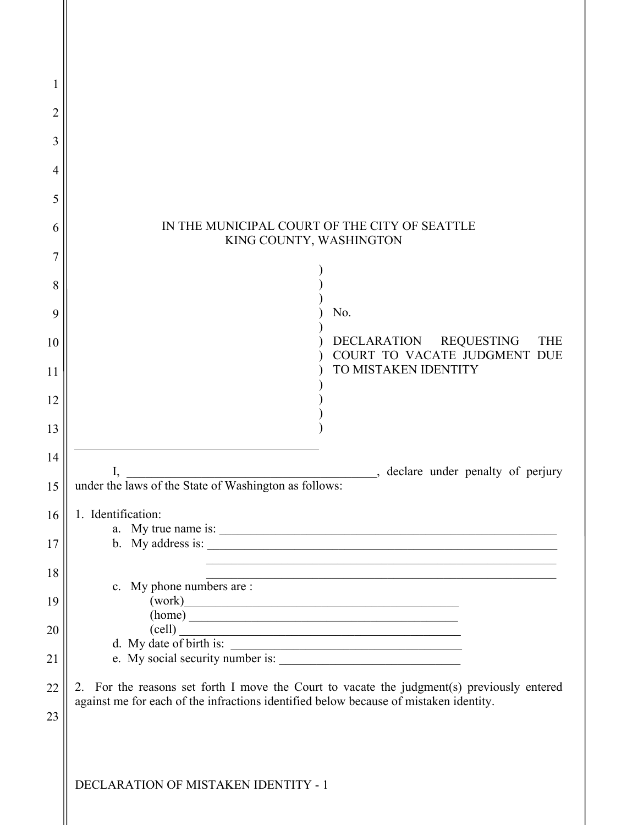| 1        |                                                                                                  |  |  |  |
|----------|--------------------------------------------------------------------------------------------------|--|--|--|
| 2        |                                                                                                  |  |  |  |
| 3        |                                                                                                  |  |  |  |
| 4        |                                                                                                  |  |  |  |
| 5        |                                                                                                  |  |  |  |
| 6        | IN THE MUNICIPAL COURT OF THE CITY OF SEATTLE<br>KING COUNTY, WASHINGTON                         |  |  |  |
| 7        |                                                                                                  |  |  |  |
| 8        |                                                                                                  |  |  |  |
| 9        | No.                                                                                              |  |  |  |
| 10       | <b>REQUESTING</b><br>DECLARATION<br><b>THE</b><br>COURT TO VACATE JUDGMENT DUE                   |  |  |  |
| 11       | TO MISTAKEN IDENTITY                                                                             |  |  |  |
| 12       |                                                                                                  |  |  |  |
| 13       |                                                                                                  |  |  |  |
| 14       | declare under penalty of perjury<br>I,                                                           |  |  |  |
| 15<br>16 | under the laws of the State of Washington as follows:<br>1. Identification:                      |  |  |  |
| 17       |                                                                                                  |  |  |  |
| 18       |                                                                                                  |  |  |  |
| 19       | c. My phone numbers are :<br>(work)                                                              |  |  |  |
| 20       | (home)<br>$\text{(cell)}$                                                                        |  |  |  |
| 21       | $\text{d.}$ My date of birth is: $\overline{\qquad \qquad }$<br>e. My social security number is: |  |  |  |
| 22       | 2. For the reasons set forth I move the Court to vacate the judgment(s) previously entered       |  |  |  |
| 23       | against me for each of the infractions identified below because of mistaken identity.            |  |  |  |
|          |                                                                                                  |  |  |  |
|          | DECLARATION OF MISTAKEN IDENTITY - 1                                                             |  |  |  |
|          |                                                                                                  |  |  |  |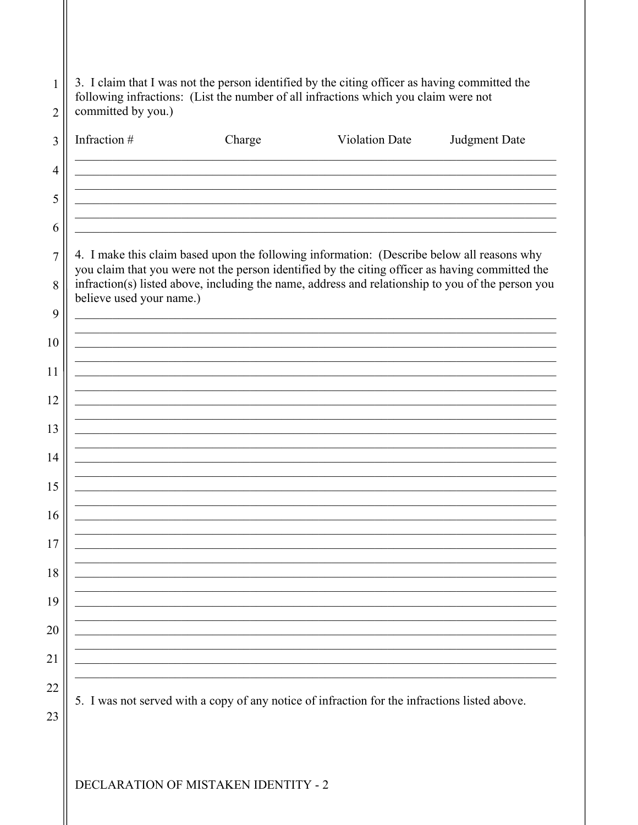| Infraction #             | Charge                                                                                                                                                                                             | <b>Violation Date</b>                                                                                                                                                                         | Judgment Date |
|--------------------------|----------------------------------------------------------------------------------------------------------------------------------------------------------------------------------------------------|-----------------------------------------------------------------------------------------------------------------------------------------------------------------------------------------------|---------------|
|                          |                                                                                                                                                                                                    |                                                                                                                                                                                               |               |
|                          | <u> 1989 - Johann Barbara, markazar margolar (h. 1989).</u>                                                                                                                                        |                                                                                                                                                                                               |               |
|                          |                                                                                                                                                                                                    |                                                                                                                                                                                               |               |
|                          | <u> 1989 - Johann John Harry Harry Harry Harry Harry Harry Harry Harry Harry Harry Harry Harry Harry Harry Harry</u>                                                                               |                                                                                                                                                                                               |               |
|                          |                                                                                                                                                                                                    | 4. I make this claim based upon the following information: (Describe below all reasons why<br>you claim that you were not the person identified by the citing officer as having committed the |               |
|                          |                                                                                                                                                                                                    | infraction(s) listed above, including the name, address and relationship to you of the person you                                                                                             |               |
| believe used your name.) | <u> 1989 - Johann John Stoff, deutscher Stoffen und der Stoffen und der Stoffen und der Stoffen und der Stoffen</u>                                                                                |                                                                                                                                                                                               |               |
|                          |                                                                                                                                                                                                    |                                                                                                                                                                                               |               |
|                          |                                                                                                                                                                                                    |                                                                                                                                                                                               |               |
|                          |                                                                                                                                                                                                    |                                                                                                                                                                                               |               |
|                          | <u> 1980 - Jan Barbara, martin da basar da basar da basar da basar da basar da basar da basar da basar da basar</u>                                                                                |                                                                                                                                                                                               |               |
|                          | the control of the control of the control of the control of the control of<br><u> 1989 - Johann Stein, marwolaethau a bhann an t-Amhair ann an t-Amhair an t-Amhair an t-Amhair an t-Amhair an</u> |                                                                                                                                                                                               |               |
|                          |                                                                                                                                                                                                    |                                                                                                                                                                                               |               |
|                          |                                                                                                                                                                                                    |                                                                                                                                                                                               |               |
|                          |                                                                                                                                                                                                    |                                                                                                                                                                                               |               |
|                          |                                                                                                                                                                                                    |                                                                                                                                                                                               |               |
|                          |                                                                                                                                                                                                    |                                                                                                                                                                                               |               |
|                          |                                                                                                                                                                                                    |                                                                                                                                                                                               |               |
|                          |                                                                                                                                                                                                    |                                                                                                                                                                                               |               |
|                          |                                                                                                                                                                                                    |                                                                                                                                                                                               |               |
|                          |                                                                                                                                                                                                    |                                                                                                                                                                                               |               |
|                          |                                                                                                                                                                                                    |                                                                                                                                                                                               |               |
|                          |                                                                                                                                                                                                    |                                                                                                                                                                                               |               |
|                          |                                                                                                                                                                                                    |                                                                                                                                                                                               |               |

DECLARATION OF MISTAKEN IDENTITY - 2